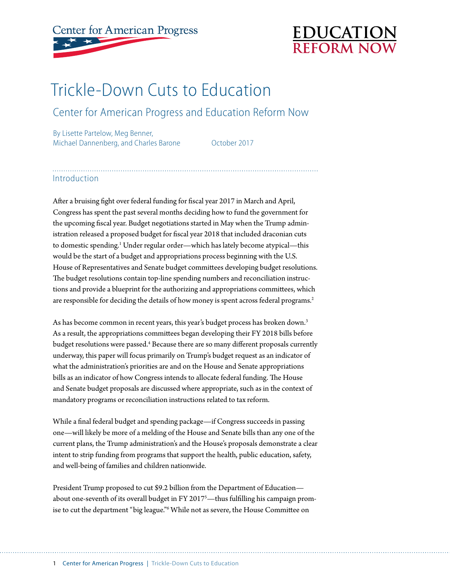# **Center for American Progress**



# Trickle-Down Cuts to Education

## Center for American Progress and Education Reform Now

By Lisette Partelow, Meg Benner, Michael Dannenberg, and Charles Barone **October 2017** 

#### Introduction

After a bruising fight over federal funding for fiscal year 2017 in March and April, Congress has spent the past several months deciding how to fund the government for the upcoming fiscal year. Budget negotiations started in May when the Trump administration released a proposed budget for fiscal year 2018 that included draconian cuts to domestic spending.<sup>1</sup> Under regular order—which has lately become atypical—this would be the start of a budget and appropriations process beginning with the U.S. House of Representatives and Senate budget committees developing budget resolutions. The budget resolutions contain top-line spending numbers and reconciliation instructions and provide a blueprint for the authorizing and appropriations committees, which are responsible for deciding the details of how money is spent across federal programs.<sup>2</sup>

As has become common in recent years, this year's budget process has broken down.<sup>3</sup> As a result, the appropriations committees began developing their FY 2018 bills before budget resolutions were passed.<sup>4</sup> Because there are so many different proposals currently underway, this paper will focus primarily on Trump's budget request as an indicator of what the administration's priorities are and on the House and Senate appropriations bills as an indicator of how Congress intends to allocate federal funding. The House and Senate budget proposals are discussed where appropriate, such as in the context of mandatory programs or reconciliation instructions related to tax reform.

While a final federal budget and spending package—if Congress succeeds in passing one—will likely be more of a melding of the House and Senate bills than any one of the current plans, the Trump administration's and the House's proposals demonstrate a clear intent to strip funding from programs that support the health, public education, safety, and well-being of families and children nationwide.

President Trump proposed to cut \$9.2 billion from the Department of Education about one-seventh of its overall budget in FY 2017<sup>5</sup>—thus fulfilling his campaign promise to cut the department "big league."6 While not as severe, the House Committee on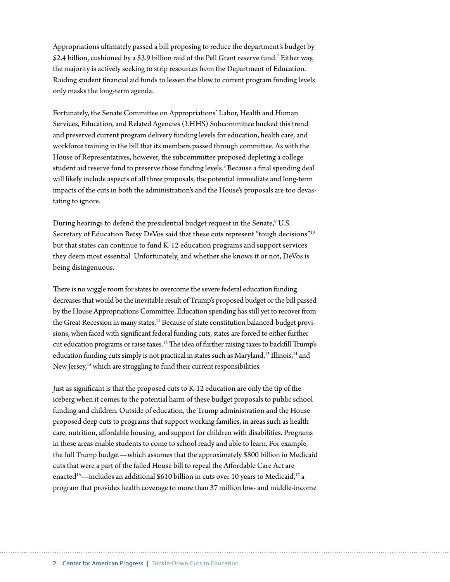Appropriations ultimately passed a bill proposing to reduce the department's budget by \$2.4 billion, cushioned by a \$3.9 billion raid of the Pell Grant reserve fund.7 Either way, the majority is actively seeking to strip resources from the Department of Education. Raiding student financial aid funds to lessen the blow to current program funding levels only masks the long-term agenda.

Fortunately, the Senate Committee on Appropriations' Labor, Health and Human Services, Education, and Related Agencies (LHHS) Subcommittee bucked this trend and preserved current program delivery funding levels for education, health care, and workforce training in the bill that its members passed through committee. As with the House of Representatives, however, the subcommittee proposed depleting a college student aid reserve fund to preserve those funding levels.<sup>8</sup> Because a final spending deal will likely include aspects of all three proposals, the potential immediate and long-term impacts of the cuts in both the administration's and the House's proposals are too devastating to ignore.

During hearings to defend the presidential budget request in the Senate,<sup>9</sup> U.S. Secretary of Education Betsy DeVos said that these cuts represent "tough decisions"10 but that states can continue to fund K-12 education programs and support services they deem most essential. Unfortunately, and whether she knows it or not, DeVos is being disingenuous.

There is no wiggle room for states to overcome the severe federal education funding decreases that would be the inevitable result of Trump's proposed budget or the bill passed by the House Appropriations Committee. Education spending has still yet to recover from the Great Recession in many states.<sup>11</sup> Because of state constitution balanced-budget provisions, when faced with significant federal funding cuts, states are forced to either further cut education programs or raise taxes.12 The idea of further raising taxes to backfill Trump's education funding cuts simply is not practical in states such as Maryland,<sup>13</sup> Illinois,<sup>14</sup> and New Jersey, 15 which are struggling to fund their current responsibilities.

Just as significant is that the proposed cuts to K-12 education are only the tip of the iceberg when it comes to the potential harm of these budget proposals to public school funding and children. Outside of education, the Trump administration and the House proposed deep cuts to programs that support working families, in areas such as health care, nutrition, affordable housing, and support for children with disabilities. Programs in these areas enable students to come to school ready and able to learn. For example, the full Trump budget—which assumes that the approximately \$800 billion in Medicaid cuts that were a part of the failed House bill to repeal the Affordable Care Act are enacted<sup>16</sup>—includes an additional \$610 billion in cuts over 10 years to Medicaid,<sup>17</sup> a program that provides health coverage to more than 37 million low- and middle-income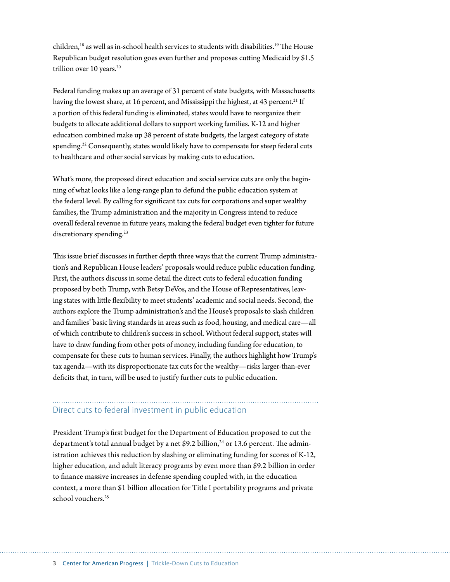children,<sup>18</sup> as well as in-school health services to students with disabilities.<sup>19</sup> The House Republican budget resolution goes even further and proposes cutting Medicaid by \$1.5 trillion over 10 years.<sup>20</sup>

Federal funding makes up an average of 31 percent of state budgets, with Massachusetts having the lowest share, at 16 percent, and Mississippi the highest, at 43 percent.<sup>21</sup> If a portion of this federal funding is eliminated, states would have to reorganize their budgets to allocate additional dollars to support working families. K-12 and higher education combined make up 38 percent of state budgets, the largest category of state spending.<sup>22</sup> Consequently, states would likely have to compensate for steep federal cuts to healthcare and other social services by making cuts to education.

What's more, the proposed direct education and social service cuts are only the beginning of what looks like a long-range plan to defund the public education system at the federal level. By calling for significant tax cuts for corporations and super wealthy families, the Trump administration and the majority in Congress intend to reduce overall federal revenue in future years, making the federal budget even tighter for future discretionary spending.<sup>23</sup>

This issue brief discusses in further depth three ways that the current Trump administration's and Republican House leaders' proposals would reduce public education funding. First, the authors discuss in some detail the direct cuts to federal education funding proposed by both Trump, with Betsy DeVos, and the House of Representatives, leaving states with little flexibility to meet students' academic and social needs. Second, the authors explore the Trump administration's and the House's proposals to slash children and families' basic living standards in areas such as food, housing, and medical care—all of which contribute to children's success in school. Without federal support, states will have to draw funding from other pots of money, including funding for education, to compensate for these cuts to human services. Finally, the authors highlight how Trump's tax agenda—with its disproportionate tax cuts for the wealthy—risks larger-than-ever deficits that, in turn, will be used to justify further cuts to public education.

# Direct cuts to federal investment in public education

President Trump's first budget for the Department of Education proposed to cut the department's total annual budget by a net \$9.2 billion, $^{24}$  or 13.6 percent. The administration achieves this reduction by slashing or eliminating funding for scores of K-12, higher education, and adult literacy programs by even more than \$9.2 billion in order to finance massive increases in defense spending coupled with, in the education context, a more than \$1 billion allocation for Title I portability programs and private school vouchers.<sup>25</sup>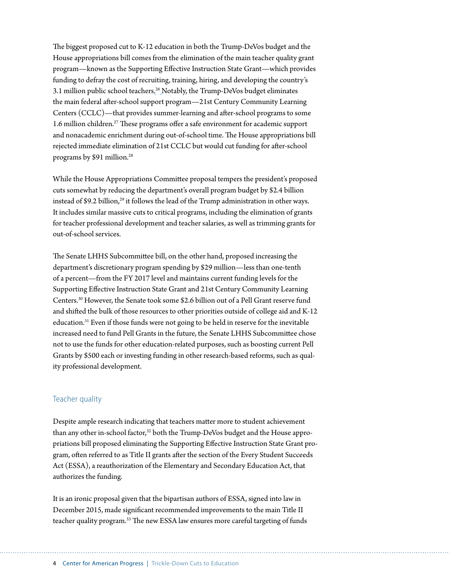The biggest proposed cut to K-12 education in both the Trump-DeVos budget and the House appropriations bill comes from the elimination of the main teacher quality grant program—known as the Supporting Effective Instruction State Grant—which provides funding to defray the cost of recruiting, training, hiring, and developing the country's 3.1 million public school teachers. <sup>26</sup> Notably, the Trump-DeVos budget eliminates the main federal after-school support program—21st Century Community Learning Centers (CCLC)—that provides summer-learning and after-school programs to some 1.6 million children.<sup>27</sup> These programs offer a safe environment for academic support and nonacademic enrichment during out-of-school time. The House appropriations bill rejected immediate elimination of 21st CCLC but would cut funding for after-school programs by \$91 million.<sup>28</sup>

While the House Appropriations Committee proposal tempers the president's proposed cuts somewhat by reducing the department's overall program budget by \$2.4 billion instead of \$9.2 billion,<sup>29</sup> it follows the lead of the Trump administration in other ways. It includes similar massive cuts to critical programs, including the elimination of grants for teacher professional development and teacher salaries, as well as trimming grants for out-of-school services.

The Senate LHHS Subcommittee bill, on the other hand, proposed increasing the department's discretionary program spending by \$29 million—less than one-tenth of a percent—from the FY 2017 level and maintains current funding levels for the Supporting Effective Instruction State Grant and 21st Century Community Learning Centers.30 However, the Senate took some \$2.6 billion out of a Pell Grant reserve fund and shifted the bulk of those resources to other priorities outside of college aid and K-12 education.31 Even if those funds were not going to be held in reserve for the inevitable increased need to fund Pell Grants in the future, the Senate LHHS Subcommittee chose not to use the funds for other education-related purposes, such as boosting current Pell Grants by \$500 each or investing funding in other research-based reforms, such as quality professional development.

#### Teacher quality

Despite ample research indicating that teachers matter more to student achievement than any other in-school factor,<sup>32</sup> both the Trump-DeVos budget and the House appropriations bill proposed eliminating the Supporting Effective Instruction State Grant program, often referred to as Title II grants after the section of the Every Student Succeeds Act (ESSA), a reauthorization of the Elementary and Secondary Education Act, that authorizes the funding.

It is an ironic proposal given that the bipartisan authors of ESSA, signed into law in December 2015, made significant recommended improvements to the main Title II teacher quality program.<sup>33</sup> The new ESSA law ensures more careful targeting of funds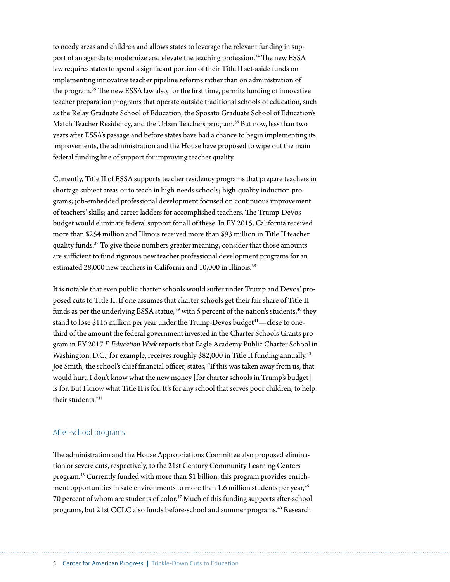to needy areas and children and allows states to leverage the relevant funding in support of an agenda to modernize and elevate the teaching profession.<sup>34</sup> The new ESSA law requires states to spend a significant portion of their Title II set-aside funds on implementing innovative teacher pipeline reforms rather than on administration of the program.35 The new ESSA law also, for the first time, permits funding of innovative teacher preparation programs that operate outside traditional schools of education, such as the Relay Graduate School of Education, the Sposato Graduate School of Education's Match Teacher Residency, and the Urban Teachers program.<sup>36</sup> But now, less than two years after ESSA's passage and before states have had a chance to begin implementing its improvements, the administration and the House have proposed to wipe out the main federal funding line of support for improving teacher quality.

Currently, Title II of ESSA supports teacher residency programs that prepare teachers in shortage subject areas or to teach in high-needs schools; high-quality induction programs; job-embedded professional development focused on continuous improvement of teachers' skills; and career ladders for accomplished teachers. The Trump-DeVos budget would eliminate federal support for all of these. In FY 2015, California received more than \$254 million and Illinois received more than \$93 million in Title II teacher quality funds.37 To give those numbers greater meaning, consider that those amounts are sufficient to fund rigorous new teacher professional development programs for an estimated 28,000 new teachers in California and 10,000 in Illinois.<sup>38</sup>

It is notable that even public charter schools would suffer under Trump and Devos' proposed cuts to Title II. If one assumes that charter schools get their fair share of Title II funds as per the underlying ESSA statue,<sup>39</sup> with 5 percent of the nation's students,<sup>40</sup> they stand to lose \$115 million per year under the Trump-Devos budget<sup>41</sup>—close to onethird of the amount the federal government invested in the Charter Schools Grants program in FY 2017.42 *Education Week* reports that Eagle Academy Public Charter School in Washington, D.C., for example, receives roughly \$82,000 in Title II funding annually.<sup>43</sup> Joe Smith, the school's chief financial officer, states, "If this was taken away from us, that would hurt. I don't know what the new money [for charter schools in Trump's budget] is for. But I know what Title II is for. It's for any school that serves poor children, to help their students."44

#### After-school programs

The administration and the House Appropriations Committee also proposed elimination or severe cuts, respectively, to the 21st Century Community Learning Centers program.45 Currently funded with more than \$1 billion, this program provides enrichment opportunities in safe environments to more than 1.6 million students per year,<sup>46</sup> 70 percent of whom are students of color.<sup>47</sup> Much of this funding supports after-school programs, but 21st CCLC also funds before-school and summer programs.<sup>48</sup> Research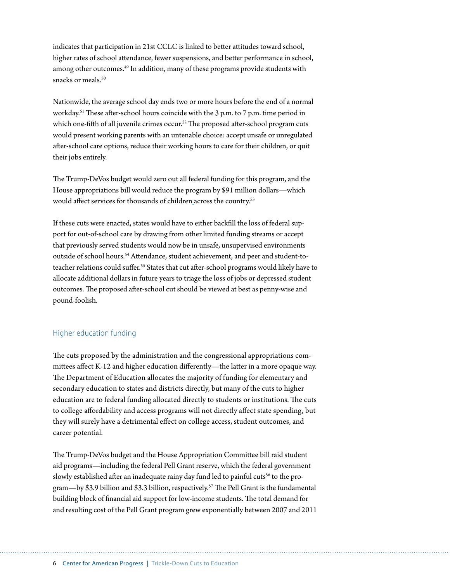indicates that participation in 21st CCLC is linked to better attitudes toward school, higher rates of school attendance, fewer suspensions, and better performance in school, among other outcomes.49 In addition, many of these programs provide students with snacks or meals.<sup>50</sup>

Nationwide, the average school day ends two or more hours before the end of a normal workday.51 These after-school hours coincide with the 3 p.m. to 7 p.m. time period in which one-fifth of all juvenile crimes occur.<sup>52</sup> The proposed after-school program cuts would present working parents with an untenable choice: accept unsafe or unregulated after-school care options, reduce their working hours to care for their children, or quit their jobs entirely.

The Trump-DeVos budget would zero out all federal funding for this program, and the House appropriations bill would reduce the program by \$91 million dollars—which would affect services for thousands of children across the country.<sup>53</sup>

If these cuts were enacted, states would have to either backfill the loss of federal support for out-of-school care by drawing from other limited funding streams or accept that previously served students would now be in unsafe, unsupervised environments outside of school hours.<sup>54</sup> Attendance, student achievement, and peer and student-toteacher relations could suffer.<sup>55</sup> States that cut after-school programs would likely have to allocate additional dollars in future years to triage the loss of jobs or depressed student outcomes. The proposed after-school cut should be viewed at best as penny-wise and pound-foolish.

#### Higher education funding

The cuts proposed by the administration and the congressional appropriations committees affect K-12 and higher education differently—the latter in a more opaque way. The Department of Education allocates the majority of funding for elementary and secondary education to states and districts directly, but many of the cuts to higher education are to federal funding allocated directly to students or institutions. The cuts to college affordability and access programs will not directly affect state spending, but they will surely have a detrimental effect on college access, student outcomes, and career potential.

The Trump-DeVos budget and the House Appropriation Committee bill raid student aid programs—including the federal Pell Grant reserve, which the federal government slowly established after an inadequate rainy day fund led to painful cuts<sup>56</sup> to the program—by \$3.9 billion and \$3.3 billion, respectively. 57 The Pell Grant is the fundamental building block of financial aid support for low-income students. The total demand for and resulting cost of the Pell Grant program grew exponentially between 2007 and 2011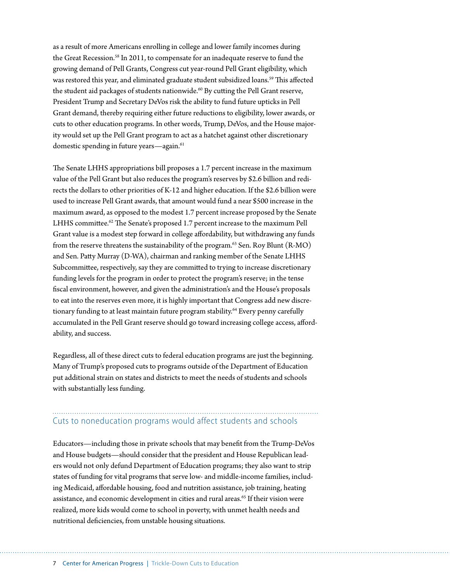as a result of more Americans enrolling in college and lower family incomes during the Great Recession.<sup>58</sup> In 2011, to compensate for an inadequate reserve to fund the growing demand of Pell Grants, Congress cut year-round Pell Grant eligibility, which was restored this year, and eliminated graduate student subsidized loans.<sup>59</sup> This affected the student aid packages of students nationwide.<sup>60</sup> By cutting the Pell Grant reserve, President Trump and Secretary DeVos risk the ability to fund future upticks in Pell Grant demand, thereby requiring either future reductions to eligibility, lower awards, or cuts to other education programs. In other words, Trump, DeVos, and the House majority would set up the Pell Grant program to act as a hatchet against other discretionary domestic spending in future years—again.<sup>61</sup>

The Senate LHHS appropriations bill proposes a 1.7 percent increase in the maximum value of the Pell Grant but also reduces the program's reserves by \$2.6 billion and redirects the dollars to other priorities of K-12 and higher education. If the \$2.6 billion were used to increase Pell Grant awards, that amount would fund a near \$500 increase in the maximum award, as opposed to the modest 1.7 percent increase proposed by the Senate LHHS committee.<sup>62</sup> The Senate's proposed 1.7 percent increase to the maximum Pell Grant value is a modest step forward in college affordability, but withdrawing any funds from the reserve threatens the sustainability of the program. $63$  Sen. Roy Blunt (R-MO) and Sen. Patty Murray (D-WA), chairman and ranking member of the Senate LHHS Subcommittee, respectively, say they are committed to trying to increase discretionary funding levels for the program in order to protect the program's reserve; in the tense fiscal environment, however, and given the administration's and the House's proposals to eat into the reserves even more, it is highly important that Congress add new discretionary funding to at least maintain future program stability.<sup>64</sup> Every penny carefully accumulated in the Pell Grant reserve should go toward increasing college access, affordability, and success.

Regardless, all of these direct cuts to federal education programs are just the beginning. Many of Trump's proposed cuts to programs outside of the Department of Education put additional strain on states and districts to meet the needs of students and schools with substantially less funding.

# Cuts to noneducation programs would affect students and schools

Educators—including those in private schools that may benefit from the Trump-DeVos and House budgets—should consider that the president and House Republican leaders would not only defund Department of Education programs; they also want to strip states of funding for vital programs that serve low- and middle-income families, including Medicaid, affordable housing, food and nutrition assistance, job training, heating assistance, and economic development in cities and rural areas.<sup>65</sup> If their vision were realized, more kids would come to school in poverty, with unmet health needs and nutritional deficiencies, from unstable housing situations.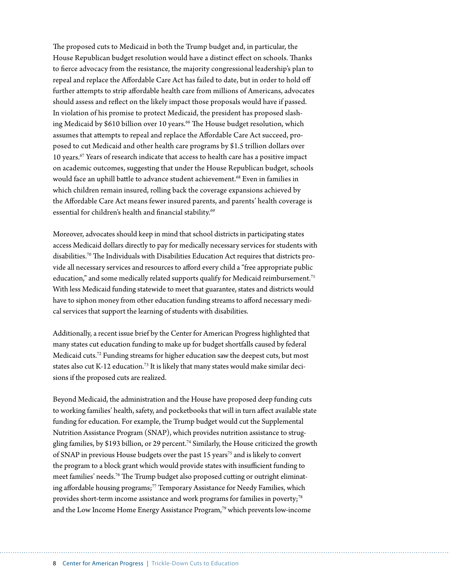The proposed cuts to Medicaid in both the Trump budget and, in particular, the House Republican budget resolution would have a distinct effect on schools. Thanks to fierce advocacy from the resistance, the majority congressional leadership's plan to repeal and replace the Affordable Care Act has failed to date, but in order to hold off further attempts to strip affordable health care from millions of Americans, advocates should assess and reflect on the likely impact those proposals would have if passed. In violation of his promise to protect Medicaid, the president has proposed slashing Medicaid by \$610 billion over 10 years.<sup>66</sup> The House budget resolution, which assumes that attempts to repeal and replace the Affordable Care Act succeed, proposed to cut Medicaid and other health care programs by \$1.5 trillion dollars over 10 years.67 Years of research indicate that access to health care has a positive impact on academic outcomes, suggesting that under the House Republican budget, schools would face an uphill battle to advance student achievement.<sup>68</sup> Even in families in which children remain insured, rolling back the coverage expansions achieved by the Affordable Care Act means fewer insured parents, and parents' health coverage is essential for children's health and financial stability.<sup>69</sup>

Moreover, advocates should keep in mind that school districts in participating states access Medicaid dollars directly to pay for medically necessary services for students with disabilities.70 The Individuals with Disabilities Education Act requires that districts provide all necessary services and resources to afford every child a "free appropriate public education," and some medically related supports qualify for Medicaid reimbursement.<sup>71</sup> With less Medicaid funding statewide to meet that guarantee, states and districts would have to siphon money from other education funding streams to afford necessary medical services that support the learning of students with disabilities.

Additionally, a recent issue brief by the Center for American Progress highlighted that many states cut education funding to make up for budget shortfalls caused by federal Medicaid cuts.72 Funding streams for higher education saw the deepest cuts, but most states also cut K-12 education.<sup>73</sup> It is likely that many states would make similar decisions if the proposed cuts are realized.

Beyond Medicaid, the administration and the House have proposed deep funding cuts to working families' health, safety, and pocketbooks that will in turn affect available state funding for education. For example, the Trump budget would cut the Supplemental Nutrition Assistance Program (SNAP), which provides nutrition assistance to struggling families, by \$193 billion, or 29 percent.<sup>74</sup> Similarly, the House criticized the growth of SNAP in previous House budgets over the past 15 years<sup>75</sup> and is likely to convert the program to a block grant which would provide states with insufficient funding to meet families' needs.76 The Trump budget also proposed cutting or outright eliminating affordable housing programs;<sup>77</sup> Temporary Assistance for Needy Families, which provides short-term income assistance and work programs for families in poverty;<sup>78</sup> and the Low Income Home Energy Assistance Program,<sup>79</sup> which prevents low-income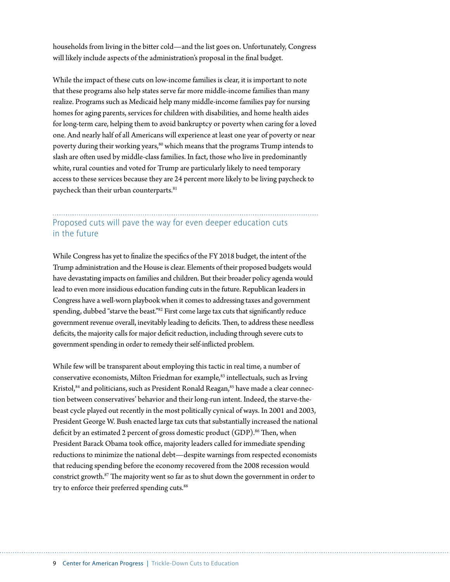households from living in the bitter cold—and the list goes on. Unfortunately, Congress will likely include aspects of the administration's proposal in the final budget.

While the impact of these cuts on low-income families is clear, it is important to note that these programs also help states serve far more middle-income families than many realize. Programs such as Medicaid help many middle-income families pay for nursing homes for aging parents, services for children with disabilities, and home health aides for long-term care, helping them to avoid bankruptcy or poverty when caring for a loved one. And nearly half of all Americans will experience at least one year of poverty or near poverty during their working years,<sup>80</sup> which means that the programs Trump intends to slash are often used by middle-class families. In fact, those who live in predominantly white, rural counties and voted for Trump are particularly likely to need temporary access to these services because they are 24 percent more likely to be living paycheck to paycheck than their urban counterparts.<sup>81</sup>

### Proposed cuts will pave the way for even deeper education cuts in the future

While Congress has yet to finalize the specifics of the FY 2018 budget, the intent of the Trump administration and the House is clear. Elements of their proposed budgets would have devastating impacts on families and children. But their broader policy agenda would lead to even more insidious education funding cuts in the future. Republican leaders in Congress have a well-worn playbook when it comes to addressing taxes and government spending, dubbed "starve the beast."<sup>82</sup> First come large tax cuts that significantly reduce government revenue overall, inevitably leading to deficits. Then, to address these needless deficits, the majority calls for major deficit reduction, including through severe cuts to government spending in order to remedy their self-inflicted problem.

While few will be transparent about employing this tactic in real time, a number of conservative economists, Milton Friedman for example,<sup>83</sup> intellectuals, such as Irving Kristol,<sup>84</sup> and politicians, such as President Ronald Reagan,<sup>85</sup> have made a clear connection between conservatives' behavior and their long-run intent. Indeed, the starve-thebeast cycle played out recently in the most politically cynical of ways. In 2001 and 2003, President George W. Bush enacted large tax cuts that substantially increased the national deficit by an estimated 2 percent of gross domestic product (GDP).<sup>86</sup> Then, when President Barack Obama took office, majority leaders called for immediate spending reductions to minimize the national debt—despite warnings from respected economists that reducing spending before the economy recovered from the 2008 recession would constrict growth.<sup>87</sup> The majority went so far as to shut down the government in order to try to enforce their preferred spending cuts.<sup>88</sup>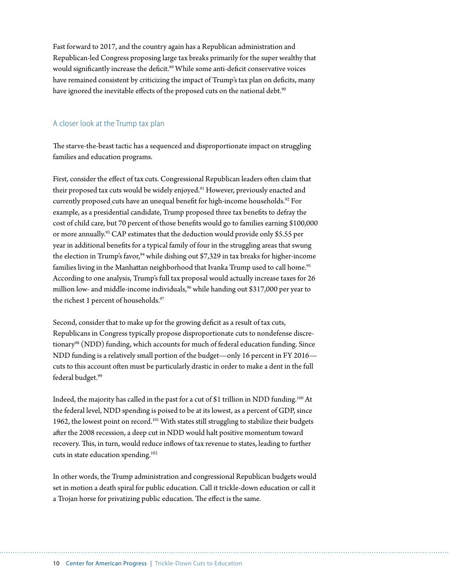Fast forward to 2017, and the country again has a Republican administration and Republican-led Congress proposing large tax breaks primarily for the super wealthy that would significantly increase the deficit.<sup>89</sup> While some anti-deficit conservative voices have remained consistent by criticizing the impact of Trump's tax plan on deficits, many have ignored the inevitable effects of the proposed cuts on the national debt.<sup>90</sup>

#### A closer look at the Trump tax plan

The starve-the-beast tactic has a sequenced and disproportionate impact on struggling families and education programs.

First, consider the effect of tax cuts. Congressional Republican leaders often claim that their proposed tax cuts would be widely enjoyed.<sup>91</sup> However, previously enacted and currently proposed cuts have an unequal benefit for high-income households.<sup>92</sup> For example, as a presidential candidate, Trump proposed three tax benefits to defray the cost of child care, but 70 percent of those benefits would go to families earning \$100,000 or more annually.93 CAP estimates that the deduction would provide only \$5.55 per year in additional benefits for a typical family of four in the struggling areas that swung the election in Trump's favor,  $94$  while dishing out \$7,329 in tax breaks for higher-income families living in the Manhattan neighborhood that Ivanka Trump used to call home.<sup>95</sup> According to one analysis, Trump's full tax proposal would actually increase taxes for 26 million low- and middle-income individuals,<sup>96</sup> while handing out \$317,000 per year to the richest 1 percent of households.<sup>97</sup>

Second, consider that to make up for the growing deficit as a result of tax cuts, Republicans in Congress typically propose disproportionate cuts to nondefense discretionary<sup>98</sup> (NDD) funding, which accounts for much of federal education funding. Since NDD funding is a relatively small portion of the budget—only 16 percent in FY 2016 cuts to this account often must be particularly drastic in order to make a dent in the full federal budget.<sup>99</sup>

Indeed, the majority has called in the past for a cut of \$1 trillion in NDD funding.100 At the federal level, NDD spending is poised to be at its lowest, as a percent of GDP, since 1962, the lowest point on record.<sup>101</sup> With states still struggling to stabilize their budgets after the 2008 recession, a deep cut in NDD would halt positive momentum toward recovery. This, in turn, would reduce inflows of tax revenue to states, leading to further cuts in state education spending.102

In other words, the Trump administration and congressional Republican budgets would set in motion a death spiral for public education. Call it trickle-down education or call it a Trojan horse for privatizing public education. The effect is the same.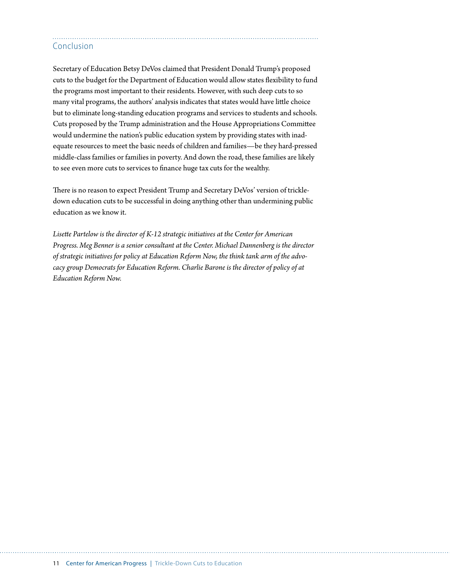#### Conclusion

Secretary of Education Betsy DeVos claimed that President Donald Trump's proposed cuts to the budget for the Department of Education would allow states flexibility to fund the programs most important to their residents. However, with such deep cuts to so many vital programs, the authors' analysis indicates that states would have little choice but to eliminate long-standing education programs and services to students and schools. Cuts proposed by the Trump administration and the House Appropriations Committee would undermine the nation's public education system by providing states with inadequate resources to meet the basic needs of children and families—be they hard-pressed middle-class families or families in poverty. And down the road, these families are likely to see even more cuts to services to finance huge tax cuts for the wealthy.

There is no reason to expect President Trump and Secretary DeVos' version of trickledown education cuts to be successful in doing anything other than undermining public education as we know it.

*Lisette Partelow is the director of K-12 strategic initiatives at the Center for American Progress. Meg Benner is a senior consultant at the Center. Michael Dannenberg is the director of strategic initiatives for policy at Education Reform Now, the think tank arm of the advocacy group Democrats for Education Reform. Charlie Barone is the director of policy of at Education Reform Now.*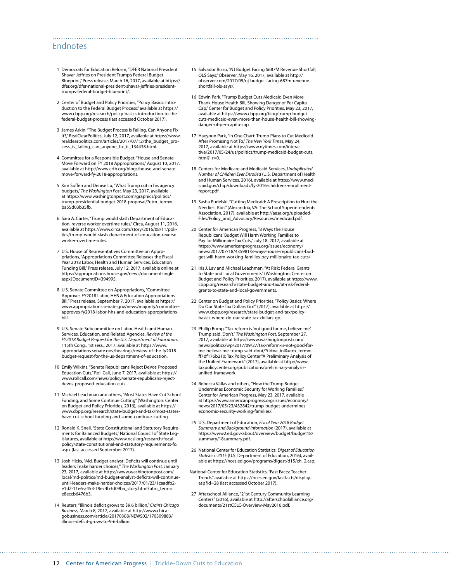#### Endnotes

- 1 Democrats for Education Reform, "DFER National President Shavar Jeffries on President Trump's Federal Budget Blueprint," Press release, March 16, 2017, available at [https://](https://dfer.org/dfer-national-president-shavar-jeffries-president-trumps-federal-budget-blueprint/) [dfer.org/dfer-national-president-shavar-jeffries-president](https://dfer.org/dfer-national-president-shavar-jeffries-president-trumps-federal-budget-blueprint/)[trumps-federal-budget-blueprint/](https://dfer.org/dfer-national-president-shavar-jeffries-president-trumps-federal-budget-blueprint/).
- 2 Center of Budget and Policy Priorities, "Policy Basics: Introduction to the Federal Budget Process," available at [https://](https://www.cbpp.org/research/policy-basics-introduction-to-the-federal-budget-process) [www.cbpp.org/research/policy-basics-introduction-to-the](https://www.cbpp.org/research/policy-basics-introduction-to-the-federal-budget-process)[federal-budget-process](https://www.cbpp.org/research/policy-basics-introduction-to-the-federal-budget-process) (last accessed October 2017).
- 3 James Arkin, "The Budget Process Is Failing. Can Anyone Fix It?," RealClearPolitics, July 12, 2017, available at [https://www.](https://www.realclearpolitics.com/articles/2017/07/12/the_budget_process_is_failing_can_anyone_fix_it_134438.html) [realclearpolitics.com/articles/2017/07/12/the\\_budget\\_pro](https://www.realclearpolitics.com/articles/2017/07/12/the_budget_process_is_failing_can_anyone_fix_it_134438.html)[cess\\_is\\_failing\\_can\\_anyone\\_fix\\_it\\_134438.html.](https://www.realclearpolitics.com/articles/2017/07/12/the_budget_process_is_failing_can_anyone_fix_it_134438.html)
- 4 Committee for a Responsible Budget, "House and Senate Move Forward on FY 2018 Appropriations," August 10, 2017, available at [http://www.crfb.org/blogs/house-and-senate](http://www.crfb.org/blogs/house-and-senate-move-forward-fy-2018-appropriations)[move-forward-fy-2018-appropriations.](http://www.crfb.org/blogs/house-and-senate-move-forward-fy-2018-appropriations)
- 5 Kim Soffen and Denise Lu, "What Trump cut in his agency budgets," *The Washington Post,* May 23, 2017, available at [https://www.washingtonpost.com/graphics/politics/](https://www.washingtonpost.com/graphics/politics/trump-presidential-budget-2018-proposal/?utm_term=.ba55d03b35fb) [trump-presidential-budget-2018-proposal/?utm\\_term=.](https://www.washingtonpost.com/graphics/politics/trump-presidential-budget-2018-proposal/?utm_term=.ba55d03b35fb) [ba55d03b35fb](https://www.washingtonpost.com/graphics/politics/trump-presidential-budget-2018-proposal/?utm_term=.ba55d03b35fb).
- 6 Sara A. Carter, "Trump would slash Department of Education, reverse worker overtime rules," Circa, August 11, 2016, available at [https://www.circa.com/story/2016/08/11/poli](https://www.circa.com/story/2016/08/11/politics/trump-would-slash-department-of-education-reverse-worker-overtime-rules)[tics/trump-would-slash-department-of-education-reverse](https://www.circa.com/story/2016/08/11/politics/trump-would-slash-department-of-education-reverse-worker-overtime-rules)[worker-overtime-rules](https://www.circa.com/story/2016/08/11/politics/trump-would-slash-department-of-education-reverse-worker-overtime-rules).
- 7 U.S. House of Representatives Committee on Appropriations, "Appropriations Committee Releases the Fiscal Year 2018 Labor, Health and Human Services, Education Funding Bill," Press release, July 12, 2017, available online at [https://appropriations.house.gov/news/documentsingle.](https://appropriations.house.gov/news/documentsingle.aspx?DocumentID=394995) [aspx?DocumentID=394995](https://appropriations.house.gov/news/documentsingle.aspx?DocumentID=394995).
- 8 U.S. Senate Committee on Appropriations, "Committee Approves FY2018 Labor, HHS & Education Appropriations Bill," Press release, September 7, 2017, available at [https://](https://www.appropriations.senate.gov/news/majority/committee-approves-fy2018-labor-hhs-and-education-appropriations-bill) [www.appropriations.senate.gov/news/majority/committee](https://www.appropriations.senate.gov/news/majority/committee-approves-fy2018-labor-hhs-and-education-appropriations-bill)[approves-fy2018-labor-hhs-and-education-appropriations](https://www.appropriations.senate.gov/news/majority/committee-approves-fy2018-labor-hhs-and-education-appropriations-bill)[bill](https://www.appropriations.senate.gov/news/majority/committee-approves-fy2018-labor-hhs-and-education-appropriations-bill).
- 9 U.S. Senate Subcommittee on Labor, Health and Human Services, Education, and Related Agencies, *Review of the FY2018 Budget Request for the U.S. Department of Education*, 115th Cong., 1st sess., 2017, available at [https://www.](https://www.appropriations.senate.gov/hearings/review-of-the-fy2018-budget-request-for-the-us-department-of-education) [appropriations.senate.gov/hearings/review-of-the-fy2018](https://www.appropriations.senate.gov/hearings/review-of-the-fy2018-budget-request-for-the-us-department-of-education) [budget-request-for-the-us-department-of-education.](https://www.appropriations.senate.gov/hearings/review-of-the-fy2018-budget-request-for-the-us-department-of-education)
- 10 Emily Wilkins, "Senate Republicans Reject DeVos' Proposed Education Cuts," Roll Call, June 7, 2017, available at [https://](https://www.rollcall.com/news/policy/senate-republicans-reject-devos-proposed-education-cuts) [www.rollcall.com/news/policy/senate-republicans-reject](https://www.rollcall.com/news/policy/senate-republicans-reject-devos-proposed-education-cuts)[devos-proposed-education-cuts.](https://www.rollcall.com/news/policy/senate-republicans-reject-devos-proposed-education-cuts)
- 11 Michael Leachman and others, "Most States Have Cut School Funding, and Some Continue Cutting" (Washington: Center on Budget and Policy Priorities, 2016), available at [https://](https://www.cbpp.org/research/state-budget-and-tax/most-states-have-cut-school-funding-and-some-continue-cutting) [www.cbpp.org/research/state-budget-and-tax/most-states](https://www.cbpp.org/research/state-budget-and-tax/most-states-have-cut-school-funding-and-some-continue-cutting)[have-cut-school-funding-and-some-continue-cutting](https://www.cbpp.org/research/state-budget-and-tax/most-states-have-cut-school-funding-and-some-continue-cutting).
- 12 Ronald K. Snell, "State Constitutional and Statutory Requirements for Balanced Budgets," National Council of State Legislatures, available at [http://www.ncsl.org/research/fiscal](http://www.ncsl.org/research/fiscal-policy/state-constitutional-and-statutory-requirements-fo.aspx)[policy/state-constitutional-and-statutory-requirements-fo.](http://www.ncsl.org/research/fiscal-policy/state-constitutional-and-statutory-requirements-fo.aspx) [aspx](http://www.ncsl.org/research/fiscal-policy/state-constitutional-and-statutory-requirements-fo.aspx) (last accessed September 2017).
- 13 Josh Hicks, "Md. Budget analyst: Deficits will continue until leaders 'make harder choices,'" *The Washington Post,* January 23, 2017, available at [https://www.washingtonpost.com/](https://www.washingtonpost.com/local/md-politics/md-budget-analyst-deficits-will-continue-until-leaders-make-harder-choices/2017/01/23/1caadfb2-e1d2-11e6-a453-19ec4b3d09ba_story.html?utm_term=.e8eccb6476b3) [local/md-politics/md-budget-analyst-deficits-will-continue](https://www.washingtonpost.com/local/md-politics/md-budget-analyst-deficits-will-continue-until-leaders-make-harder-choices/2017/01/23/1caadfb2-e1d2-11e6-a453-19ec4b3d09ba_story.html?utm_term=.e8eccb6476b3)[until-leaders-make-harder-choices/2017/01/23/1caadfb2](https://www.washingtonpost.com/local/md-politics/md-budget-analyst-deficits-will-continue-until-leaders-make-harder-choices/2017/01/23/1caadfb2-e1d2-11e6-a453-19ec4b3d09ba_story.html?utm_term=.e8eccb6476b3) [e1d2-11e6-a453-19ec4b3d09ba\\_story.html?utm\\_term=.](https://www.washingtonpost.com/local/md-politics/md-budget-analyst-deficits-will-continue-until-leaders-make-harder-choices/2017/01/23/1caadfb2-e1d2-11e6-a453-19ec4b3d09ba_story.html?utm_term=.e8eccb6476b3) [e8eccb6476b3](https://www.washingtonpost.com/local/md-politics/md-budget-analyst-deficits-will-continue-until-leaders-make-harder-choices/2017/01/23/1caadfb2-e1d2-11e6-a453-19ec4b3d09ba_story.html?utm_term=.e8eccb6476b3).
- 14 Reuters, "Illinois deficit grows to \$9.6 billion," *Crain's Chicago Business,* March 8, 2017, available at [http://www.chica](http://www.chicagobusiness.com/article/20170308/NEWS02/170309883/illinois-deficit-grows-to-9-6-billion)[gobusiness.com/article/20170308/NEWS02/170309883/](http://www.chicagobusiness.com/article/20170308/NEWS02/170309883/illinois-deficit-grows-to-9-6-billion) [illinois-deficit-grows-to-9-6-billion](http://www.chicagobusiness.com/article/20170308/NEWS02/170309883/illinois-deficit-grows-to-9-6-billion).

15 Salvador Rizzo, "NJ Budget Facing \$687M Revenue Shortfall, OLS Says," Observer, May 16, 2017, available at [http://](http://observer.com/2017/05/nj-budget-facing-687m-revenue-shortfall-ols-says/) [observer.com/2017/05/nj-budget-facing-687m-revenue](http://observer.com/2017/05/nj-budget-facing-687m-revenue-shortfall-ols-says/)[shortfall-ols-says/.](http://observer.com/2017/05/nj-budget-facing-687m-revenue-shortfall-ols-says/)

- 16 Edwin Park, "Trump Budget Cuts Medicaid Even More Thank House Health Bill, Showing Danger of Per Capita Cap," Center for Budget and Policy Priorities, May 23, 2017, available at [https://www.cbpp.org/blog/trump-budget](https://www.cbpp.org/blog/trump-budget-cuts-medicaid-even-more-than-house-health-bill-showing-danger-of-per-capita-cap)[cuts-medicaid-even-more-than-house-health-bill-showing](https://www.cbpp.org/blog/trump-budget-cuts-medicaid-even-more-than-house-health-bill-showing-danger-of-per-capita-cap)[danger-of-per-capita-cap](https://www.cbpp.org/blog/trump-budget-cuts-medicaid-even-more-than-house-health-bill-showing-danger-of-per-capita-cap).
- 17 Haeyoun Park, "In One Chart: Trump Plans to Cut Medicaid After Promising Not To," *The New York Times,* May 24, 2017, available at [https://www.nytimes.com/interac](https://www.nytimes.com/interactive/2017/05/24/us/politics/trump-medicaid-budget-cuts.html?_r=0)[tive/2017/05/24/us/politics/trump-medicaid-budget-cuts.](https://www.nytimes.com/interactive/2017/05/24/us/politics/trump-medicaid-budget-cuts.html?_r=0) html? $r=0$ .
- 18 Centers for Medicare and Medicaid Services, *Unduplicated Number of Children Ever Enrolled* (U.S. Department of Health and Human Services, 2016), available at [https://www.med](https://www.medicaid.gov/chip/downloads/fy-2016-childrens-enrollment-report.pdf)[icaid.gov/chip/downloads/fy-2016-childrens-enrollment](https://www.medicaid.gov/chip/downloads/fy-2016-childrens-enrollment-report.pdf)[report.pdf](https://www.medicaid.gov/chip/downloads/fy-2016-childrens-enrollment-report.pdf).
- 19 Sasha Pudelski, "Cutting Medicaid: A Prescription to Hurt the Neediest Kids" (Alexandria, VA: The School Superintendents Association, 2017), available at [http://aasa.org/uploaded-](http://aasa.org/uploadedFiles/Policy_and_Advocacy/Resources/medicaid.pdf)[Files/Policy\\_and\\_Advocacy/Resources/medicaid.pdf.](http://aasa.org/uploadedFiles/Policy_and_Advocacy/Resources/medicaid.pdf)
- 20 Center for American Progress, "8 Ways the House Republicans' Budget Will Harm Working Families to Pay for Millionaire Tax Cuts," July 18, 2017, available at [https://www.americanprogress.org/issues/economy/](https://www.americanprogress.org/issues/economy/news/2017/07/18/435981/8-ways-house-republicans-budget-will-harm-working-families-pay-millionaire-tax-cuts/) [news/2017/07/18/435981/8-ways-house-republicans-bud](https://www.americanprogress.org/issues/economy/news/2017/07/18/435981/8-ways-house-republicans-budget-will-harm-working-families-pay-millionaire-tax-cuts/)[get-will-harm-working-families-pay-millionaire-tax-cuts/](https://www.americanprogress.org/issues/economy/news/2017/07/18/435981/8-ways-house-republicans-budget-will-harm-working-families-pay-millionaire-tax-cuts/).
- 21 Iris J. Lav and Michael Leachman, "At Risk: Federal Grants to State and Local Governments" (Washington: Center on Budget and Policy Priorities, 2017), available at [https://www.](https://www.cbpp.org/research/state-budget-and-tax/at-risk-federal-grants-to-state-and-local-governments) [cbpp.org/research/state-budget-and-tax/at-risk-federal](https://www.cbpp.org/research/state-budget-and-tax/at-risk-federal-grants-to-state-and-local-governments)[grants-to-state-and-local-governments.](https://www.cbpp.org/research/state-budget-and-tax/at-risk-federal-grants-to-state-and-local-governments)
- 22 Center on Budget and Policy Priorities, "Policy Basics: Where Do Our State Tax Dollars Go?" (2017), available at [https://](https://www.cbpp.org/research/state-budget-and-tax/policy-basics-where-do-our-state-tax-dollars-go) [www.cbpp.org/research/state-budget-and-tax/policy](https://www.cbpp.org/research/state-budget-and-tax/policy-basics-where-do-our-state-tax-dollars-go)[basics-where-do-our-state-tax-dollars-go](https://www.cbpp.org/research/state-budget-and-tax/policy-basics-where-do-our-state-tax-dollars-go).
- 23 Phillip Bump, "Tax reform is 'not good for me, believe me,' Trump said. Don't." *The Washington Post,* September 27, 2017, available at [https://www.washingtonpost.com/](https://www.washingtonpost.com/news/politics/wp/2017/09/27/tax-reform-is-not-good-for-me-believe-me-trump-said-dont/?tid=a_inl&utm_term=.ff7df176b210) [news/politics/wp/2017/09/27/tax-reform-is-not-good-for](https://www.washingtonpost.com/news/politics/wp/2017/09/27/tax-reform-is-not-good-for-me-believe-me-trump-said-dont/?tid=a_inl&utm_term=.ff7df176b210)[me-believe-me-trump-said-dont/?tid=a\\_inl&utm\\_term=.](https://www.washingtonpost.com/news/politics/wp/2017/09/27/tax-reform-is-not-good-for-me-believe-me-trump-said-dont/?tid=a_inl&utm_term=.ff7df176b210) [ff7df176b210](https://www.washingtonpost.com/news/politics/wp/2017/09/27/tax-reform-is-not-good-for-me-believe-me-trump-said-dont/?tid=a_inl&utm_term=.ff7df176b210); Tax Policy Center "A Preliminary Analysis of the Unified Framework" (2017), available at [http://www.](http://www.taxpolicycenter.org/publications/preliminary-analysis-unified-framework) [taxpolicycenter.org/publications/preliminary-analysis](http://www.taxpolicycenter.org/publications/preliminary-analysis-unified-framework)[unified-framework](http://www.taxpolicycenter.org/publications/preliminary-analysis-unified-framework).
- 24 Rebecca Vallas and others, "How the Trump Budget Undermines Economic Security for Working Families," Center for American Progress, May 23, 2017, available at [https://www.americanprogress.org/issues/economy/](https://www.americanprogress.org/issues/economy/news/2017/05/23/432842/trump-budget-undermines-economic-security-working-families/) [news/2017/05/23/432842/trump-budget-undermines](https://www.americanprogress.org/issues/economy/news/2017/05/23/432842/trump-budget-undermines-economic-security-working-families/)[economic-security-working-families/](https://www.americanprogress.org/issues/economy/news/2017/05/23/432842/trump-budget-undermines-economic-security-working-families/).
- 25 U.S. Department of Education, *Fiscal Year 2018 Budget Summary and Background Information* (2017), available at [https://www2.ed.gov/about/overview/budget/budget18/](https://www2.ed.gov/about/overview/budget/budget18/summary/18summary.pdf) [summary/18summary.pdf](https://www2.ed.gov/about/overview/budget/budget18/summary/18summary.pdf).
- 26 National Center for Education Statistics, *Digest of Education Statistics: 2015* (U.S. Department of Education, 2016), available at [https://nces.ed.gov/programs/digest/d15/ch\\_2.asp;](https://nces.ed.gov/programs/digest/d15/ch_2.asp)
- National Center for Education Statistics, "Fast Facts: Teacher Trends," available at [https://nces.ed.gov/fastfacts/display.](https://nces.ed.gov/fastfacts/display.asp?id=28) [asp?id=28](https://nces.ed.gov/fastfacts/display.asp?id=28) (last accessed October 2017).
- 27 Afterschool Alliance, "21st Century Community Learning Centers" (2016), available at [http://afterschoolalliance.org/](http://afterschoolalliance.org/documents/21stCCLC-Overview-May2016.pdf) [documents/21stCCLC-Overview-May2016.pdf](http://afterschoolalliance.org/documents/21stCCLC-Overview-May2016.pdf).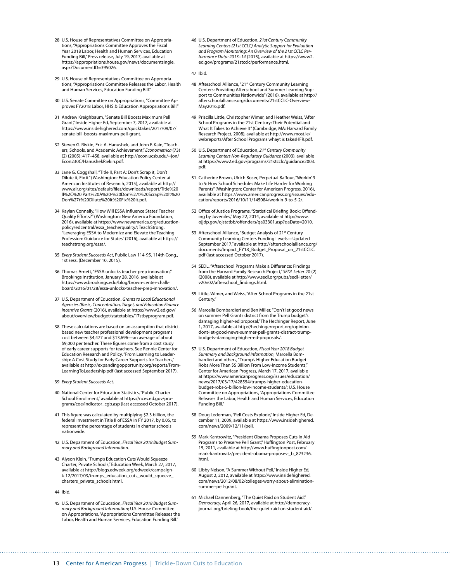- 28 U.S. House of Representatives Committee on Appropriations, "Appropriations Committee Approves the Fiscal Year 2018 Labor, Health and Human Services, Education Funding Bill," Press release, July 19, 2017, available at [https://appropriations.house.gov/news/documentsingle.](https://appropriations.house.gov/news/documentsingle.aspx?DocumentID=395026) [aspx?DocumentID=395026.](https://appropriations.house.gov/news/documentsingle.aspx?DocumentID=395026)
- 29 U.S. House of Representatives Committee on Appropriations, "Appropriations Committee Releases the Labor, Health and Human Services, Education Funding Bill."
- 30 U.S. Senate Committee on Appropriations, "Committee Approves FY2018 Labor, HHS & Education Appropriations Bill."
- 31 Andrew Kreighbaum, "Senate Bill Boosts Maximum Pell Grant," Inside Higher Ed*,* September 7, 2017, available at [https://www.insidehighered.com/quicktakes/2017/09/07/](https://www.insidehighered.com/quicktakes/2017/09/07/senate-bill-boosts-maximum-pell-grant) [senate-bill-boosts-maximum-pell-grant.](https://www.insidehighered.com/quicktakes/2017/09/07/senate-bill-boosts-maximum-pell-grant)
- 32 Steven G. Rivkin, Eric A. Hanushek, and John F. Kain, "Teachers, Schools, and Academic Achievement," *Econometrica* (73) (2) (2005): 417–458, available at [http://econ.ucsb.edu/~jon/](http://econ.ucsb.edu/~jon/Econ230C/HanushekRivkin.pdf) [Econ230C/HanushekRivkin.pdf](http://econ.ucsb.edu/~jon/Econ230C/HanushekRivkin.pdf).
- 33 Jane G. Coggshall, "Title II, Part A: Don't Scrap it, Don't Dilute it, Fix it" (Washington: Education Policy Center at American Institutes of Research, 2015), available at [http://](http://www.air.org/sites/default/files/downloads/report/Title%20II%2C%20Part%20A%20-%20Don%27t%20Scrap%20It%20Don%27t%20Dilute%20It%20Fix%20It.pdf) [www.air.org/sites/default/files/downloads/report/Title%20](http://www.air.org/sites/default/files/downloads/report/Title%20II%2C%20Part%20A%20-%20Don%27t%20Scrap%20It%20Don%27t%20Dilute%20It%20Fix%20It.pdf) [II%2C%20 Part%20A%20-%20Don%27t%20Scrap%20It%20](http://www.air.org/sites/default/files/downloads/report/Title%20II%2C%20Part%20A%20-%20Don%27t%20Scrap%20It%20Don%27t%20Dilute%20It%20Fix%20It.pdf) [Don%27t%20Dilute%20It%20Fix%20It.pdf.](http://www.air.org/sites/default/files/downloads/report/Title%20II%2C%20Part%20A%20-%20Don%27t%20Scrap%20It%20Don%27t%20Dilute%20It%20Fix%20It.pdf)
- 34 Kaylan Connally, "How Will ESSA Influence States' Teacher Quality Efforts?" (Washington: New America Foundation, 2016), available at [https://www.newamerica.org/education](https://www.newamerica.org/education-policy/edcentral/essa_teacherquality/)[policy/edcentral/essa\\_teacherquality/](https://www.newamerica.org/education-policy/edcentral/essa_teacherquality/); TeachStrong, "Leveraging ESSA to Modernize and Elevate the Teaching Profession: Guidance for States" (2016), available at [https://](https://teachstrong.org/essa/) [teachstrong.org/essa/](https://teachstrong.org/essa/).
- 35 *Every Student Succeeds Act*, Public Law 114-95, 114th Cong., 1st sess. (December 10, 2015).
- 36 Thomas Arnett, "ESSA unlocks teacher prep innovation," Brookings Institution, January 28, 2016, available at [https://www.brookings.edu/blog/brown-center-chalk](https://www.brookings.edu/blog/brown-center-chalkboard/2016/01/28/essa-unlocks-teacher-prep-innovation/)[board/2016/01/28/essa-unlocks-teacher-prep-innovation/.](https://www.brookings.edu/blog/brown-center-chalkboard/2016/01/28/essa-unlocks-teacher-prep-innovation/)
- 37 U.S. Department of Education, *Grants to Local Educational Agencies (Basic, Concentration, Target, and Education Finance Incentive Grants* (2016), available at [https://www2.ed.gov/](https://www2.ed.gov/about/overview/budget/statetables/17stbyprogram.pdf) [about/overview/budget/statetables/17stbyprogram.pdf](https://www2.ed.gov/about/overview/budget/statetables/17stbyprogram.pdf).
- 38 These calculations are based on an assumption that districtbased new teacher professional development programs cost between \$4,477 and \$13,696—an average of about \$9,000 per teacher. These figures come from a cost study of early career supports for teachers. See Rennie Center for Education Research and Policy, "From Learning to Leadership: A Cost Study for Early Career Supports for Teachers," available at [http://expandingopportunity.org/reports/From-](http://expandingopportunity.org/reports/FromLearningToLeadership.pdf)[LearningToLeadership.pdf](http://expandingopportunity.org/reports/FromLearningToLeadership.pdf) (last accessed September 2017).
- 39 *Every Student Succeeds Act*.
- 40 National Center for Education Statistics, "Public Charter School Enrollment," available at [https://nces.ed.gov/pro](https://nces.ed.gov/programs/coe/indicator_cgb.asp)[grams/coe/indicator\\_cgb.asp](https://nces.ed.gov/programs/coe/indicator_cgb.asp) (last accessed October 2017).
- 41 This figure was calculated by multiplying \$2.3 billion, the federal investment in Title II of ESSA in FY 2017, by 0.05, to represent the percentage of students in charter schools nationwide.
- 42 U.S. Department of Education, *Fiscal Year 2018 Budget Summary and Background Information*.
- 43 Alyson Klein, "Trump's Education Cuts Would Squeeze Charter, Private Schools," Education Week, March 27, 2017, available at [http://blogs.edweek.org/edweek/campaign](http://blogs.edweek.org/edweek/campaign-k-12/2017/03/trumps_education_cuts_would_squeeze_charters_private_schools.html)[k-12/2017/03/trumps\\_education\\_cuts\\_would\\_squeeze\\_](http://blogs.edweek.org/edweek/campaign-k-12/2017/03/trumps_education_cuts_would_squeeze_charters_private_schools.html) [charters\\_private\\_schools.html.](http://blogs.edweek.org/edweek/campaign-k-12/2017/03/trumps_education_cuts_would_squeeze_charters_private_schools.html)
- 44 Ibid.
- 45 U.S. Department of Education, *Fiscal Year 2018 Budget Summary and Background Information*; U.S. House Committee on Appropriations, "Appropriations Committee Releases the Labor, Health and Human Services, Education Funding Bill."

46 U.S. Department of Education, *21st Century Community Learning Centers (21st CCLC) Analytic Support for Evaluation and Program Monitoring: An Overview of the 21st CCLC Performance Data: 2013–14* (2015), available at [https://www2.](https://www2.ed.gov/programs/21stcclc/performance.html) [ed.gov/programs/21stcclc/performance.html](https://www2.ed.gov/programs/21stcclc/performance.html).

#### 47 Ibid.

- 48 Afterschool Alliance, "21st Century Community Learning Centers: Providing Afterschool and Summer Learning Support to Communities Nationwide" (2016), available at [http://](http://afterschoolalliance.org/documents/21stCCLC-Overview-May2016.pdf) [afterschoolalliance.org/documents/21stCCLC-Overview-](http://afterschoolalliance.org/documents/21stCCLC-Overview-May2016.pdf)[May2016.pdf](http://afterschoolalliance.org/documents/21stCCLC-Overview-May2016.pdf).
- 49 Priscilla Little, Christopher Wimer, and Heather Weiss, "After School Programs in the 21st Century: Their Potential and What It Takes to Achieve It" (Cambridge, MA: Harvard Family Research Project, 2008), available at [http://www.most.ie/](http://www.most.ie/webreports/After%20School%20Programs%20whayt%20is%20takesHFR.pdf) [webreports/After School Programs whayt is takesHFR.pdf](http://www.most.ie/webreports/After%20School%20Programs%20whayt%20is%20takesHFR.pdf).
- 50 U.S. Department of Education, *21st Century Community Learning Centers Non-Regulatory Guidance* (2003), available at [https://www2.ed.gov/programs/21stcclc/guidance2003.](https://www2.ed.gov/programs/21stcclc/guidance2003.pdf) [pdf](https://www2.ed.gov/programs/21stcclc/guidance2003.pdf).
- 51 Catherine Brown, Ulrich Boser, Perpetual Baffour, "Workin' 9 to 5: How School Schedules Make Life Harder for Working Parents" (Washington: Center for American Progress, 2016), available at [https://www.americanprogress.org/issues/edu](https://www.americanprogress.org/issues/education/reports/2016/10/11/145084/workin-9-to-5-2/)[cation/reports/2016/10/11/145084/workin-9-to-5-2/](https://www.americanprogress.org/issues/education/reports/2016/10/11/145084/workin-9-to-5-2/).
- 52 Office of Justice Programs, "Statistical Briefing Book: Offending by Juveniles," May 22, 2014, available at [http://www.](http://www.ojjdp.gov/ojstatbb/offenders/qa03301.asp?qaDate=2010) [ojjdp.gov/ojstatbb/offenders/qa03301.asp?qaDate=2010](http://www.ojjdp.gov/ojstatbb/offenders/qa03301.asp?qaDate=2010).
- 53 Afterschool Alliance, "Budget Analysis of 21st Century Community Learning Centers Funding Levels—Updated September 2017," available at [http://afterschoolalliance.org/](http://afterschoolalliance.org/documents/Impact_FY18_Budget_Proposal_on_21stCCLC.pdf) [documents/Impact\\_FY18\\_Budget\\_Proposal\\_on\\_21stCCLC.](http://afterschoolalliance.org/documents/Impact_FY18_Budget_Proposal_on_21stCCLC.pdf) [pdf](http://afterschoolalliance.org/documents/Impact_FY18_Budget_Proposal_on_21stCCLC.pdf) (last accessed October 2017).
- 54 SEDL, "Afterschool Programs Make a Difference: Findings from the Harvard Family Research Project," *SEDL Letter* 20 (2) (2008), available at [http://www.sedl.org/pubs/sedl-letter/](http://www.sedl.org/pubs/sedl-letter/v20n02/afterschool_findings.html) [v20n02/afterschool\\_findings.html](http://www.sedl.org/pubs/sedl-letter/v20n02/afterschool_findings.html).
- 55 Little, Wimer, and Weiss, "After School Programs in the 21st Century."
- 56 Marcella Bombardieri and Ben Miller, "Don't let good news on summer Pell Grants district from the Trump budget's damaging higher-ed proposal," The Hechinger Report*,* June 1, 2017, available at [http://hechingerreport.org/opinion](http://hechingerreport.org/opinion-dont-let-good-news-summer-pell-grants-distract-trump-budgets-damaging-higher-ed-proposals/)[dont-let-good-news-summer-pell-grants-distract-trump](http://hechingerreport.org/opinion-dont-let-good-news-summer-pell-grants-distract-trump-budgets-damaging-higher-ed-proposals/)[budgets-damaging-higher-ed-proposals/](http://hechingerreport.org/opinion-dont-let-good-news-summer-pell-grants-distract-trump-budgets-damaging-higher-ed-proposals/).
- 57 U.S. Department of Education, *Fiscal Year 2018 Budget Summary and Background Information*; Marcella Bom-bardieri and others, "Trump's Higher Education Budget Robs More Than \$5 Billion From Low-Income Students," Center for American Progress, March 17, 2017, available at [https://www.americanprogress.org/issues/education/](https://www.americanprogress.org/issues/education/news/2017/03/17/428554/trumps-higher-education-budget-robs-5-billion-low-income-students/) [news/2017/03/17/428554/trumps-higher-education](https://www.americanprogress.org/issues/education/news/2017/03/17/428554/trumps-higher-education-budget-robs-5-billion-low-income-students/)[budget-robs-5-billion-low-income-students/](https://www.americanprogress.org/issues/education/news/2017/03/17/428554/trumps-higher-education-budget-robs-5-billion-low-income-students/); U.S. House Committee on Appropriations, "Appropriations Committee Releases the Labor, Health and Human Services, Education Funding Bill."
- 58 Doug Lederman, "Pell Costs Explode," Inside Higher Ed, December 11, 2009, available at [https://www.insidehighered.](https://www.insidehighered.com/news/2009/12/11/pell) [com/news/2009/12/11/pell](https://www.insidehighered.com/news/2009/12/11/pell).
- 59 Mark Kantrowitz, "President Obama Proposes Cuts in Aid Programs to Preserve Pell Grant," Huffington Post, February 15, 2011, available at [http://www.huffingtonpost.com/](http://www.huffingtonpost.com/mark-kantrowitz/president-obama-proposes-_b_823236.html) [mark-kantrowitz/president-obama-proposes-\\_b\\_823236.](http://www.huffingtonpost.com/mark-kantrowitz/president-obama-proposes-_b_823236.html) [html.](http://www.huffingtonpost.com/mark-kantrowitz/president-obama-proposes-_b_823236.html)
- 60 Libby Nelson, "A Summer Without Pell," Inside Higher Ed, August 2, 2012, available at [https://www.insidehighered.](https://www.insidehighered.com/news/2012/08/02/colleges-worry-about-elimination-summer-pell-grant) [com/news/2012/08/02/colleges-worry-about-elimination](https://www.insidehighered.com/news/2012/08/02/colleges-worry-about-elimination-summer-pell-grant)[summer-pell-grant](https://www.insidehighered.com/news/2012/08/02/colleges-worry-about-elimination-summer-pell-grant).
- 61 Michael Dannenberg, "The Quiet Raid on Student Aid," *Democracy,* April 26, 2017, available at [http://democracy](http://democracyjournal.org/briefing-book/the-quiet-raid-on-student-aid/)[journal.org/briefing-book/the-quiet-raid-on-student-aid/](http://democracyjournal.org/briefing-book/the-quiet-raid-on-student-aid/).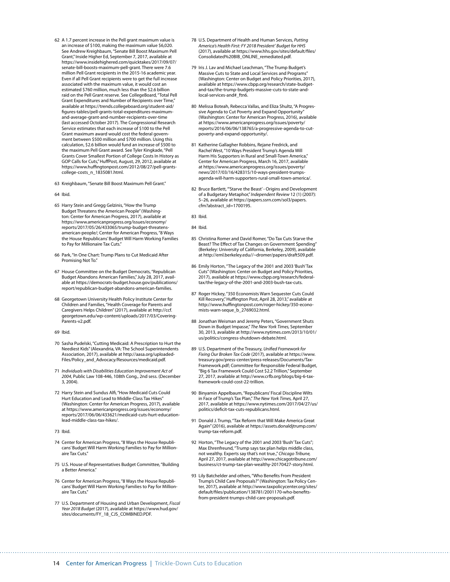- 62 A 1.7 percent increase in the Pell grant maximum value is an increase of \$100, making the maximum value \$6,020. See Andrew Kreighbaum, "Senate Bill Boost Maximum Pell Grant," Inside Higher Ed, September 7, 2017, available at [https://www.insidehighered.com/quicktakes/2017/09/07/](https://www.insidehighered.com/quicktakes/2017/09/07/senate-bill-boosts-maximum-pell-grant) [senate-bill-boosts-maximum-pell-grant.](https://www.insidehighered.com/quicktakes/2017/09/07/senate-bill-boosts-maximum-pell-grant) There were 7.6 million Pell Grant recipients in the 2015-16 academic year. Even if all Pell Grant recipients were to get the full increase associated with the maximum value, it would cost an estimated \$760 million, much less than the \$2.6 billion raid on the Pell Grant reserve. See CollegeBoard, "Total Pell Grant Expenditures and Number of Recipients over Time," available at [https://trends.collegeboard.org/student-aid/](https://trends.collegeboard.org/student-aid/figures-tables/pell-grants-total-expenditures-maximum-and-average-grant-and-number-recipients-over-time) [figures-tables/pell-grants-total-expenditures-maximum](https://trends.collegeboard.org/student-aid/figures-tables/pell-grants-total-expenditures-maximum-and-average-grant-and-number-recipients-over-time)[and-average-grant-and-number-recipients-over-time](https://trends.collegeboard.org/student-aid/figures-tables/pell-grants-total-expenditures-maximum-and-average-grant-and-number-recipients-over-time) (last accessed October 2017). The Congressional Research Service estimates that each increase of \$100 to the Pell Grant maximum award would cost the federal government between \$500 million and \$700 million. Using this calculation, \$2.6 billion would fund an increase of \$500 to the maximum Pell Grant award. See Tyler Kingkade, "Pell Grants Cover Smallest Portion of College Costs In History as GOP Calls for Cuts," HuffPost*,* August, 29, 2012, available at [https://www.huffingtonpost.com/2012/08/27/pell-grants](https://www.huffingtonpost.com/2012/08/27/pell-grants-college-costs_n_1835081.html)[college-costs\\_n\\_1835081.html](https://www.huffingtonpost.com/2012/08/27/pell-grants-college-costs_n_1835081.html).
- 63 Kreighbaum, "Senate Bill Boost Maximum Pell Grant."
- 64 Ibid.
- 65 Harry Stein and Gregg Gelzinis, "How the Trump Budget Threatens the American People" (Washington: Center for American Progress, 2017), available at [https://www.americanprogress.org/issues/economy/](https://www.americanprogress.org/issues/economy/reports/2017/05/26/433065/trump-budget-threatens-american-people/) [reports/2017/05/26/433065/trump-budget-threatens](https://www.americanprogress.org/issues/economy/reports/2017/05/26/433065/trump-budget-threatens-american-people/)[american-people/](https://www.americanprogress.org/issues/economy/reports/2017/05/26/433065/trump-budget-threatens-american-people/); Center for American Progress, "8 Ways the House Republicans' Budget Will Harm Working Families to Pay for Millionaire Tax Cuts."
- 66 Park, "In One Chart: Trump Plans to Cut Medicaid After Promising Not To."
- 67 House Committee on the Budget Democrats, "Republican Budget Abandons American Families," July 28, 2017, available at [https://democrats-budget.house.gov/publications/](https://democrats-budget.house.gov/publications/report/republican-budget-abandons-american-families) [report/republican-budget-abandons-american-families](https://democrats-budget.house.gov/publications/report/republican-budget-abandons-american-families).
- 68 Georgetown University Health Policy Institute Center for Children and Families, "Health Coverage for Parents and Caregivers Helps Children" (2017), available at [http://ccf.](http://ccf.georgetown.edu/wp-content/uploads/2017/03/Covering-Parents-v2.pdf) [georgetown.edu/wp-content/uploads/2017/03/Covering-](http://ccf.georgetown.edu/wp-content/uploads/2017/03/Covering-Parents-v2.pdf)[Parents-v2.pdf.](http://ccf.georgetown.edu/wp-content/uploads/2017/03/Covering-Parents-v2.pdf)
- 69 Ibid.
- 70 Sasha Pudelski, "Cutting Medicaid: A Prescription to Hurt the Neediest Kids" (Alexandria, VA: The School Superintendents Association, 2017), available at [http://aasa.org/uploaded-](http://aasa.org/uploadedFiles/Policy_and_Advocacy/Resources/medicaid.pdf)[Files/Policy\\_and\\_Advocacy/Resources/medicaid.pdf.](http://aasa.org/uploadedFiles/Policy_and_Advocacy/Resources/medicaid.pdf)
- 71 *Individuals with Disabilities Education Improvement Act of 2004*, Public Law 108-446, 108th Cong., 2nd sess. (December 3, 2004).
- 72 Harry Stein and Sundus Alfi, "How Medicaid Cuts Could Hurt Education and Lead to Middle-Class Tax Hikes" (Washington: Center for American Progress, 2017), available at [https://www.americanprogress.org/issues/economy/](https://www.americanprogress.org/issues/economy/reports/2017/06/06/433621/medicaid-cuts-hurt-education-lead-middle-class-tax-hikes/) [reports/2017/06/06/433621/medicaid-cuts-hurt-education](https://www.americanprogress.org/issues/economy/reports/2017/06/06/433621/medicaid-cuts-hurt-education-lead-middle-class-tax-hikes/)[lead-middle-class-tax-hikes/](https://www.americanprogress.org/issues/economy/reports/2017/06/06/433621/medicaid-cuts-hurt-education-lead-middle-class-tax-hikes/).
- 73 Ibid.
- 74 Center for American Progress, "8 Ways the House Republicans' Budget Will Harm Working Families to Pay for Millionaire Tax Cuts."
- 75 U.S. House of Representatives Budget Committee, "Building a Better America."
- 76 Center for American Progress, "8 Ways the House Republicans' Budget Will Harm Working Families to Pay for Millionaire Tax Cuts."
- 77 U.S. Department of Housing and Urban Development, *Fiscal Year 2018 Budget* (2017), available at [https://www.hud.gov/](https://www.hud.gov/sites/documents/FY_18_CJS_COMBINED.PDF) [sites/documents/FY\\_18\\_CJS\\_COMBINED.PDF](https://www.hud.gov/sites/documents/FY_18_CJS_COMBINED.PDF).
- 78 U.S. Department of Health and Human Services, *Putting America's Health First: FY 2018 President' Budget for HHS* (2017), available at [https://www.hhs.gov/sites/default/files/](https://www.hhs.gov/sites/default/files/Consolidated%20BIB_ONLINE_remediated.pdf) [Consolidated%20BIB\\_ONLINE\\_remediated.pdf.](https://www.hhs.gov/sites/default/files/Consolidated%20BIB_ONLINE_remediated.pdf)
- 79 Iris J. Lav and Michael Leachman, "The Trump Budget's Massive Cuts to State and Local Services and Programs" (Washington: Center on Budget and Policy Priorities, 2017), available at https://www.cbpp.org/research/state-budgetand-tax/the-trump-budgets-massive-cuts-to-state-andlocal-services-and#\_ftn6.
- 80 Melissa Boteah, Rebecca Vallas, and Eliza Shultz, "A Progressive Agenda to Cut Poverty and Expand Opportunity" (Washington: Center for American Progress, 2016), available at [https://www.americanprogress.org/issues/poverty/](https://www.americanprogress.org/issues/poverty/reports/2016/06/06/138765/a-progressive-agenda-to-cut-poverty-and-expand-opportunity/) [reports/2016/06/06/138765/a-progressive-agenda-to-cut](https://www.americanprogress.org/issues/poverty/reports/2016/06/06/138765/a-progressive-agenda-to-cut-poverty-and-expand-opportunity/)[poverty-and-expand-opportunity/](https://www.americanprogress.org/issues/poverty/reports/2016/06/06/138765/a-progressive-agenda-to-cut-poverty-and-expand-opportunity/).
- 81 Katherine Gallagher Robbins, Rejane Fredrick, and Rachel West, "10 Ways President Trump's Agenda Will Harm His Supporters in Rural and Small-Town America," Center for American Progress, March 16, 2017, available at [https://www.americanprogress.org/issues/poverty/](https://www.americanprogress.org/issues/poverty/news/2017/03/16/428315/10-ways-president-trumps-agenda-will-harm-supporters-rural-small-town-america/) [news/2017/03/16/428315/10-ways-president-trumps](https://www.americanprogress.org/issues/poverty/news/2017/03/16/428315/10-ways-president-trumps-agenda-will-harm-supporters-rural-small-town-america/)[agenda-will-harm-supporters-rural-small-town-america/](https://www.americanprogress.org/issues/poverty/news/2017/03/16/428315/10-ways-president-trumps-agenda-will-harm-supporters-rural-small-town-america/).
- 82 Bruce Bartlett, "'Starve the Beast' Origins and Development of a Budgetary Metaphor," *Independent Review* 12 (1) (2007): 5–26, available at [https://papers.ssrn.com/sol3/papers.](https://papers.ssrn.com/sol3/papers.cfm?abstract_id=1700195) [cfm?abstract\\_id=1700195.](https://papers.ssrn.com/sol3/papers.cfm?abstract_id=1700195)
- 83 Ibid.
- 84 Ibid.
- 85 Christina Romer and David Romer, "Do Tax Cuts Starve the Beast? The Effect of Tax Changes on Government Spending" (Berkeley: University of California, Berkeley, 2009), available at <http://eml.berkeley.edu//~dromer/papers/draft509.pdf>.
- 86 Emily Horton, "The Legacy of the 2001 and 2003 'Bush' Tax Cuts" (Washington: Center on Budget and Policy Priorities, 2017), available at [https://www.cbpp.org/research/federal](https://www.cbpp.org/research/federal-tax/the-legacy-of-the-2001-and-2003-bush-tax-cuts)[tax/the-legacy-of-the-2001-and-2003-bush-tax-cuts](https://www.cbpp.org/research/federal-tax/the-legacy-of-the-2001-and-2003-bush-tax-cuts).
- 87 Roger Hickey, "350 Economists Warn Sequester Cuts Could Kill Recovery," Huffington Post, April 28, 2013," available at [http://www.huffingtonpost.com/roger-hickey/350-econo](http://www.huffingtonpost.com/roger-hickey/350-economists-warn-seque_b_2769032.html)[mists-warn-seque\\_b\\_2769032.html.](http://www.huffingtonpost.com/roger-hickey/350-economists-warn-seque_b_2769032.html)
- 88 Jonathan Weisman and Jeremy Peters, "Government Shuts Down in Budget Impasse," *The New York Times,* September 30, 2013, available at [http://www.nytimes.com/2013/10/01/](http://www.nytimes.com/2013/10/01/us/politics/congress-shutdown-debate.html) [us/politics/congress-shutdown-debate.html](http://www.nytimes.com/2013/10/01/us/politics/congress-shutdown-debate.html).
- 89 U.S. Department of the Treasury, *Unified Framework for Fixing Our Broken Tax Code* (2017), available at [https://www.](https://www.treasury.gov/press-center/press-releases/Documents/Tax-Framework.pdf) [treasury.gov/press-center/press-releases/Documents/Tax-](https://www.treasury.gov/press-center/press-releases/Documents/Tax-Framework.pdf)[Framework.pdf;](https://www.treasury.gov/press-center/press-releases/Documents/Tax-Framework.pdf) Committee for Responsible Federal Budget, "Big 6 Tax Framework Could Cost \$2.2 Trillion," September 27, 2017, available at [http://www.crfb.org/blogs/big-6-tax](http://www.crfb.org/blogs/big-6-tax-framework-could-cost-22-trillion)[framework-could-cost-22-trillion](http://www.crfb.org/blogs/big-6-tax-framework-could-cost-22-trillion).
- 90 Binyamin Appelbaum, "Republicans' Fiscal Discipline Wilts in Face of Trump's Tax Plan," *The New York Times,* April 27, 2017, available at [https://www.nytimes.com/2017/04/27/us/](https://www.nytimes.com/2017/04/27/us/politics/deficit-tax-cuts-republicans.html) [politics/deficit-tax-cuts-republicans.html.](https://www.nytimes.com/2017/04/27/us/politics/deficit-tax-cuts-republicans.html)
- 91 Donald J. Trump, "Tax Reform that Will Make America Great Again" (2016), available at [https://assets.donaldjtrump.com/](https://assets.donaldjtrump.com/trump-tax-reform.pdf) [trump-tax-reform.pdf](https://assets.donaldjtrump.com/trump-tax-reform.pdf).
- 92 Horton, "The Legacy of the 2001 and 2003 'Bush' Tax Cuts"; Max Ehrenfreund, "Trump says tax plan helps middle class, not wealthy. Experts say that's not true.," *Chicago Tribune,*  April 27, 2017, available at [http://www.chicagotribune.com/](http://www.chicagotribune.com/business/ct-trump-tax-plan-wealthy-20170427-story.html) [business/ct-trump-tax-plan-wealthy-20170427-story.html.](http://www.chicagotribune.com/business/ct-trump-tax-plan-wealthy-20170427-story.html)
- 93 Lily Batchelder and others, "Who Benefits From President Trump's Child Care Proposals?" (Washington: Tax Policy Center, 2017), available at [http://www.taxpolicycenter.org/sites/](http://www.taxpolicycenter.org/sites/default/files/publication/138781/2001170-who-benefits-from-president-trumps-child-care-proposals.pdf) [default/files/publication/138781/2001170-who-benefits](http://www.taxpolicycenter.org/sites/default/files/publication/138781/2001170-who-benefits-from-president-trumps-child-care-proposals.pdf)[from-president-trumps-child-care-proposals.pdf](http://www.taxpolicycenter.org/sites/default/files/publication/138781/2001170-who-benefits-from-president-trumps-child-care-proposals.pdf).